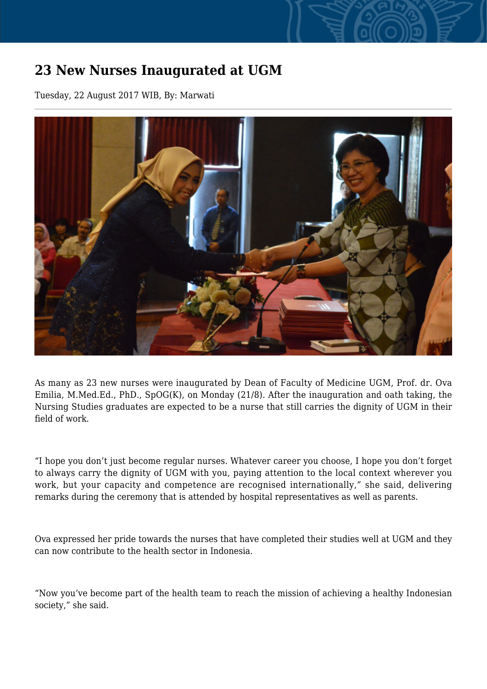## **23 New Nurses Inaugurated at UGM**

Tuesday, 22 August 2017 WIB, By: Marwati



As many as 23 new nurses were inaugurated by Dean of Faculty of Medicine UGM, Prof. dr. Ova Emilia, M.Med.Ed., PhD., SpOG(K), on Monday (21/8). After the inauguration and oath taking, the Nursing Studies graduates are expected to be a nurse that still carries the dignity of UGM in their field of work.

"I hope you don't just become regular nurses. Whatever career you choose, I hope you don't forget to always carry the dignity of UGM with you, paying attention to the local context wherever you work, but your capacity and competence are recognised internationally," she said, delivering remarks during the ceremony that is attended by hospital representatives as well as parents.

Ova expressed her pride towards the nurses that have completed their studies well at UGM and they can now contribute to the health sector in Indonesia.

"Now you've become part of the health team to reach the mission of achieving a healthy Indonesian society," she said.